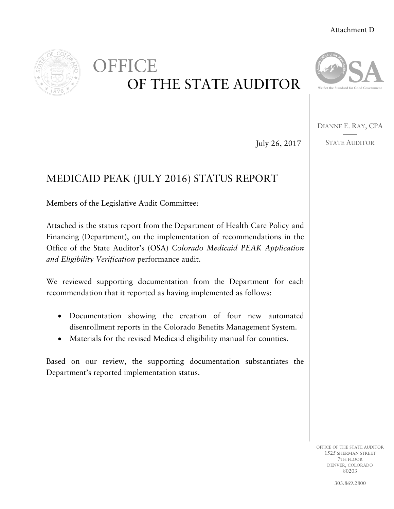#### Attachment D



OFFICE OF THE STATE AUDITOR



DIANNE E. RAY, CPA ——

July 26, 2017

## STATE AUDITOR

# MEDICAID PEAK (JULY 2016) STATUS REPORT

Members of the Legislative Audit Committee:

Attached is the status report from the Department of Health Care Policy and Financing (Department), on the implementation of recommendations in the Office of the State Auditor's (OSA) *Colorado Medicaid PEAK Application and Eligibility Verification* performance audit.

We reviewed supporting documentation from the Department for each recommendation that it reported as having implemented as follows:

- Documentation showing the creation of four new automated disenrollment reports in the Colorado Benefits Management System.
- Materials for the revised Medicaid eligibility manual for counties.

Based on our review, the supporting documentation substantiates the Department's reported implementation status.

> OFFICE OF THE STATE AUDITOR 1525 SHERMAN STREET 7TH FLOOR DENVER, COLORADO 80203

> > 303.869.2800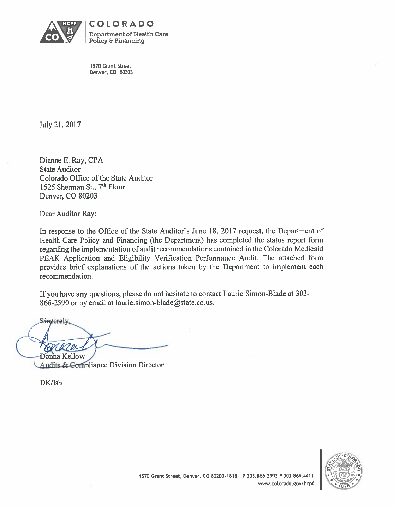

COLORADO **Department of Health Care Policy & Financing** 

1570 Grant Street Denver, CO 80203

July 21, 2017

Dianne E. Ray, CPA **State Auditor** Colorado Office of the State Auditor 1525 Sherman St., 7<sup>th</sup> Floor Denver, CO 80203

Dear Auditor Ray:

In response to the Office of the State Auditor's June 18, 2017 request, the Department of Health Care Policy and Financing (the Department) has completed the status report form regarding the implementation of audit recommendations contained in the Colorado Medicaid PEAK Application and Eligibility Verification Performance Audit. The attached form provides brief explanations of the actions taken by the Department to implement each recommendation.

If you have any questions, please do not hesitate to contact Laurie Simon-Blade at 303-866-2590 or by email at laurie.simon-blade@state.co.us.

Singerely, **Donna Kellow** 

**Audits & Compliance Division Director** 

DK/lsb

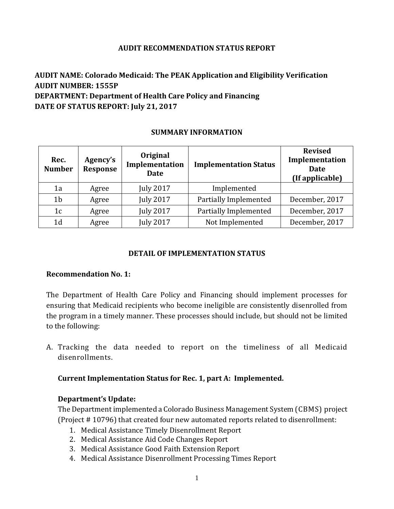#### **AUDIT RECOMMENDATION STATUS REPORT**

## **AUDIT NAME: Colorado Medicaid: The PEAK Application and Eligibility Verification AUDIT NUMBER: 1555P DEPARTMENT: Department of Health Care Policy and Financing DATE OF STATUS REPORT: July 21, 2017**

#### **SUMMARY INFORMATION**

| Rec.<br><b>Number</b> | Agency's<br>Response | Original<br>Implementation<br><b>Date</b> | <b>Implementation Status</b> | <b>Revised</b><br>Implementation<br><b>Date</b><br>(If applicable) |
|-----------------------|----------------------|-------------------------------------------|------------------------------|--------------------------------------------------------------------|
| 1a                    | Agree                | <b>July 2017</b>                          | Implemented                  |                                                                    |
| 1 <sub>b</sub>        | Agree                | <b>July 2017</b>                          | Partially Implemented        | December, 2017                                                     |
| 1 <sub>c</sub>        | Agree                | <b>July 2017</b>                          | Partially Implemented        | December, 2017                                                     |
| 1 <sub>d</sub>        | Agree                | <b>July 2017</b>                          | Not Implemented              | December, 2017                                                     |

#### **DETAIL OF IMPLEMENTATION STATUS**

#### **Recommendation No. 1:**

The Department of Health Care Policy and Financing should implement processes for ensuring that Medicaid recipients who become ineligible are consistently disenrolled from the program in a timely manner. These processes should include, but should not be limited to the following:

A. Tracking the data needed to report on the timeliness of all Medicaid disenrollments.

#### **Current Implementation Status for Rec. 1, part A: Implemented.**

#### **Department's Update:**

The Department implemented a Colorado Business Management System (CBMS) project (Project # 10796) that created four new automated reports related to disenrollment:

- 1. Medical Assistance Timely Disenrollment Report
- 2. Medical Assistance Aid Code Changes Report
- 3. Medical Assistance Good Faith Extension Report
- 4. Medical Assistance Disenrollment Processing Times Report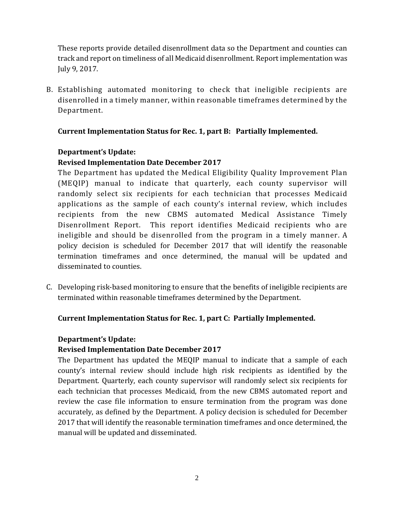These reports provide detailed disenrollment data so the Department and counties can track and report on timeliness of all Medicaid disenrollment. Report implementation was July 9, 2017.

B. Establishing automated monitoring to check that ineligible recipients are disenrolled in a timely manner, within reasonable timeframes determined by the Department.

## **Current Implementation Status for Rec. 1, part B: Partially Implemented.**

## **Department's Update:**

## **Revised Implementation Date December 2017**

The Department has updated the Medical Eligibility Quality Improvement Plan (MEQIP) manual to indicate that quarterly, each county supervisor will randomly select six recipients for each technician that processes Medicaid applications as the sample of each county's internal review, which includes recipients from the new CBMS automated Medical Assistance Timely Disenrollment Report. This report identifies Medicaid recipients who are ineligible and should be disenrolled from the program in a timely manner. A policy decision is scheduled for December 2017 that will identify the reasonable termination timeframes and once determined, the manual will be updated and disseminated to counties.

C. Developing risk-based monitoring to ensure that the benefits of ineligible recipients are terminated within reasonable timeframes determined by the Department.

## **Current Implementation Status for Rec. 1, part C: Partially Implemented.**

#### **Department's Update:**

## **Revised Implementation Date December 2017**

The Department has updated the MEQIP manual to indicate that a sample of each county's internal review should include high risk recipients as identified by the Department. Quarterly, each county supervisor will randomly select six recipients for each technician that processes Medicaid, from the new CBMS automated report and review the case file information to ensure termination from the program was done accurately, as defined by the Department. A policy decision is scheduled for December 2017 that will identify the reasonable termination timeframes and once determined, the manual will be updated and disseminated.